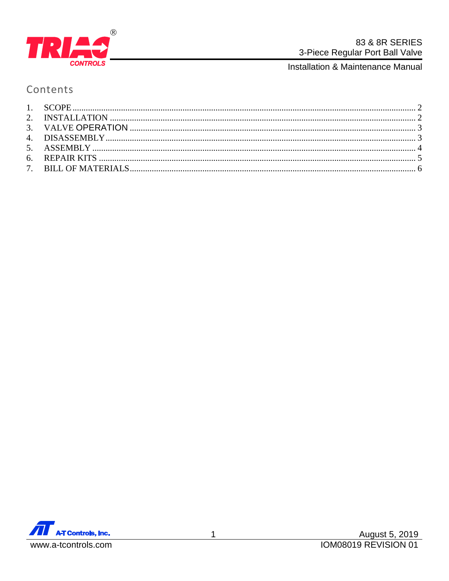

Installation & Maintenance Manual

# Contents

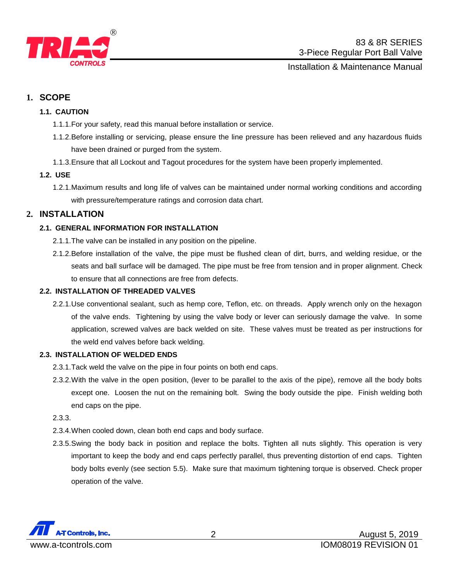

## Installation & Maintenance Manual

# <span id="page-1-0"></span>**1. SCOPE**

## **1.1. CAUTION**

- 1.1.1.For your safety, read this manual before installation or service.
- 1.1.2.Before installing or servicing, please ensure the line pressure has been relieved and any hazardous fluids have been drained or purged from the system.
- 1.1.3.Ensure that all Lockout and Tagout procedures for the system have been properly implemented.

### **1.2. USE**

1.2.1.Maximum results and long life of valves can be maintained under normal working conditions and according with pressure/temperature ratings and corrosion data chart.

# <span id="page-1-1"></span>**2. INSTALLATION**

## **2.1. GENERAL INFORMATION FOR INSTALLATION**

- 2.1.1.The valve can be installed in any position on the pipeline.
- 2.1.2.Before installation of the valve, the pipe must be flushed clean of dirt, burrs, and welding residue, or the seats and ball surface will be damaged. The pipe must be free from tension and in proper alignment. Check to ensure that all connections are free from defects.

## **2.2. INSTALLATION OF THREADED VALVES**

2.2.1.Use conventional sealant, such as hemp core, Teflon, etc. on threads. Apply wrench only on the hexagon of the valve ends. Tightening by using the valve body or lever can seriously damage the valve. In some application, screwed valves are back welded on site. These valves must be treated as per instructions for the weld end valves before back welding.

#### **2.3. INSTALLATION OF WELDED ENDS**

- 2.3.1.Tack weld the valve on the pipe in four points on both end caps.
- 2.3.2.With the valve in the open position, (lever to be parallel to the axis of the pipe), remove all the body bolts except one. Loosen the nut on the remaining bolt. Swing the body outside the pipe. Finish welding both end caps on the pipe.

### 2.3.3.

- 2.3.4.When cooled down, clean both end caps and body surface.
- 2.3.5.Swing the body back in position and replace the bolts. Tighten all nuts slightly. This operation is very important to keep the body and end caps perfectly parallel, thus preventing distortion of end caps. Tighten body bolts evenly (see section 5.5). Make sure that maximum tightening torque is observed. Check proper operation of the valve.

<span id="page-1-2"></span>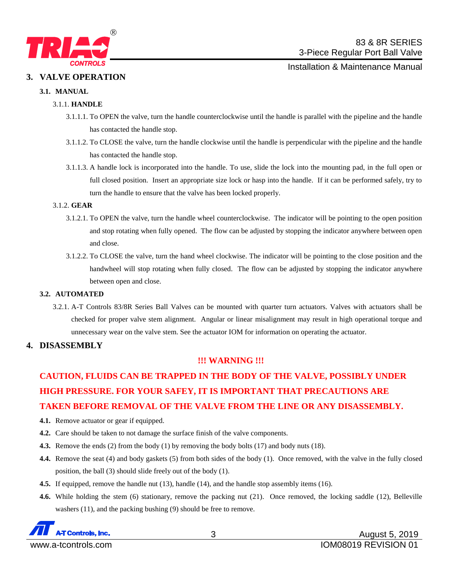

Installation & Maintenance Manual

#### **3. VALVE OPERATION**

#### **3.1. MANUAL**

#### 3.1.1. **HANDLE**

- 3.1.1.1. To OPEN the valve, turn the handle counterclockwise until the handle is parallel with the pipeline and the handle has contacted the handle stop.
- 3.1.1.2. To CLOSE the valve, turn the handle clockwise until the handle is perpendicular with the pipeline and the handle has contacted the handle stop.
- 3.1.1.3. A handle lock is incorporated into the handle. To use, slide the lock into the mounting pad, in the full open or full closed position. Insert an appropriate size lock or hasp into the handle. If it can be performed safely, try to turn the handle to ensure that the valve has been locked properly.

#### 3.1.2. **GEAR**

- 3.1.2.1. To OPEN the valve, turn the handle wheel counterclockwise. The indicator will be pointing to the open position and stop rotating when fully opened. The flow can be adjusted by stopping the indicator anywhere between open and close.
- 3.1.2.2. To CLOSE the valve, turn the hand wheel clockwise. The indicator will be pointing to the close position and the handwheel will stop rotating when fully closed. The flow can be adjusted by stopping the indicator anywhere between open and close.

#### **3.2. AUTOMATED**

3.2.1. A-T Controls 83/8R Series Ball Valves can be mounted with quarter turn actuators. Valves with actuators shall be checked for proper valve stem alignment. Angular or linear misalignment may result in high operational torque and unnecessary wear on the valve stem. See the actuator IOM for information on operating the actuator.

#### <span id="page-2-0"></span>**4. DISASSEMBLY**

#### **!!! WARNING !!!**

# **CAUTION, FLUIDS CAN BE TRAPPED IN THE BODY OF THE VALVE, POSSIBLY UNDER HIGH PRESSURE. FOR YOUR SAFEY, IT IS IMPORTANT THAT PRECAUTIONS ARE TAKEN BEFORE REMOVAL OF THE VALVE FROM THE LINE OR ANY DISASSEMBLY.**

- **4.1.** Remove actuator or gear if equipped.
- **4.2.** Care should be taken to not damage the surface finish of the valve components.
- **4.3.** Remove the ends (2) from the body (1) by removing the body bolts (17) and body nuts (18).
- **4.4.** Remove the seat (4) and body gaskets (5) from both sides of the body (1). Once removed, with the valve in the fully closed position, the ball (3) should slide freely out of the body (1).
- **4.5.** If equipped, remove the handle nut (13), handle (14), and the handle stop assembly items (16).
- **4.6.** While holding the stem (6) stationary, remove the packing nut (21). Once removed, the locking saddle (12), Belleville washers (11), and the packing bushing (9) should be free to remove.

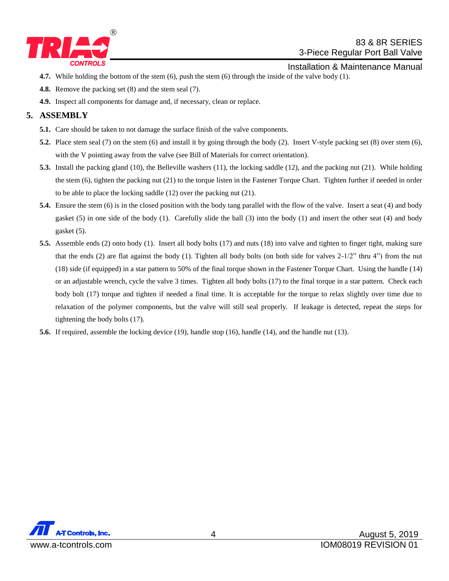

## 83 & 8R SERIES 3-Piece Regular Port Ball Valve

- Installation & Maintenance Manual
- **4.7.** While holding the bottom of the stem (6), push the stem (6) through the inside of the valve body (1).
- **4.8.** Remove the packing set (8) and the stem seal (7).
- **4.9.** Inspect all components for damage and, if necessary, clean or replace.

# <span id="page-3-0"></span>**5. ASSEMBLY**

- **5.1.** Care should be taken to not damage the surface finish of the valve components.
- **5.2.** Place stem seal (7) on the stem (6) and install it by going through the body (2). Insert V-style packing set (8) over stem (6), with the V pointing away from the valve (see Bill of Materials for correct orientation).
- **5.3.** Install the packing gland (10), the Belleville washers (11), the locking saddle (12), and the packing nut (21). While holding the stem (6), tighten the packing nut (21) to the torque listen in the Fastener Torque Chart. Tighten further if needed in order to be able to place the locking saddle (12) over the packing nut (21).
- **5.4.** Ensure the stem (6) is in the closed position with the body tang parallel with the flow of the valve. Insert a seat (4) and body gasket (5) in one side of the body (1). Carefully slide the ball (3) into the body (1) and insert the other seat (4) and body gasket (5).
- **5.5.** Assemble ends (2) onto body (1). Insert all body bolts (17) and nuts (18) into valve and tighten to finger tight, making sure that the ends (2) are flat against the body (1). Tighten all body bolts (on both side for valves  $2-1/2$ " thru 4") from the nut (18) side (if equipped) in a star pattern to 50% of the final torque shown in the Fastener Torque Chart. Using the handle (14) or an adjustable wrench, cycle the valve 3 times. Tighten all body bolts (17) to the final torque in a star pattern. Check each body bolt (17) torque and tighten if needed a final time. It is acceptable for the torque to relax slightly over time due to relaxation of the polymer components, but the valve will still seal properly. If leakage is detected, repeat the steps for tightening the body bolts (17).
- **5.6.** If required, assemble the locking device (19), handle stop (16), handle (14), and the handle nut (13).

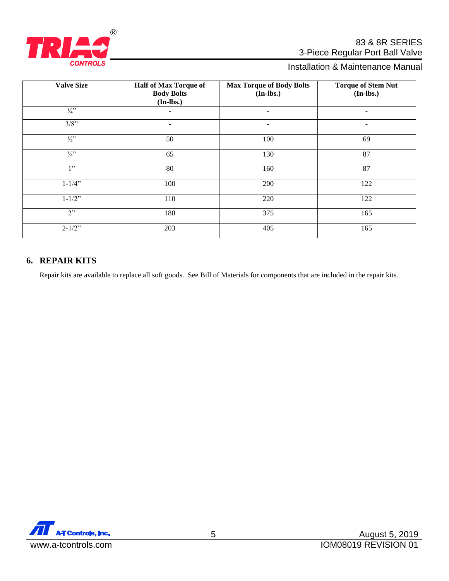

# 83 & 8R SERIES 3-Piece Regular Port Ball Valve

# Installation & Maintenance Manual

| <b>Valve Size</b> | <b>Half of Max Torque of</b><br><b>Body Bolts</b><br>$(In-lbs.)$ | <b>Max Torque of Body Bolts</b><br>$(In-lbs.)$ | <b>Torque of Stem Nut</b><br>$(In-lbs.)$ |
|-------------------|------------------------------------------------------------------|------------------------------------------------|------------------------------------------|
| $\frac{1}{4}$ "   |                                                                  | $\overline{a}$                                 | $\overline{\phantom{a}}$                 |
| $3/8$ "           | Ξ.                                                               | $\qquad \qquad$                                | -                                        |
| $\frac{1}{2}$ "   | 50                                                               | 100                                            | 69                                       |
| $\frac{3}{4}$     | 65                                                               | 130                                            | 87                                       |
| 1"                | 80                                                               | 160                                            | 87                                       |
| $1 - 1/4$ "       | 100                                                              | 200                                            | 122                                      |
| $1 - 1/2$ "       | 110                                                              | 220                                            | 122                                      |
| 2                 | 188                                                              | 375                                            | 165                                      |
| $2 - 1/2$ "       | 203                                                              | 405                                            | 165                                      |

# <span id="page-4-0"></span>**6. REPAIR KITS**

Repair kits are available to replace all soft goods. See Bill of Materials for components that are included in the repair kits.